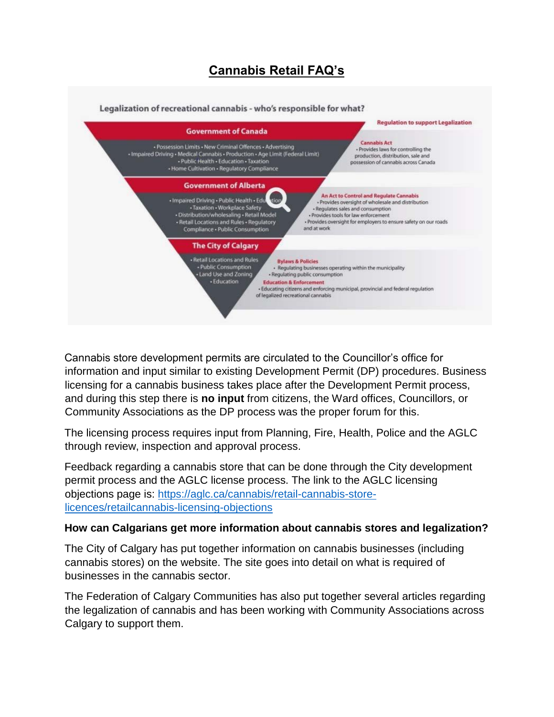# **Cannabis Retail FAQ's**



Cannabis store development permits are circulated to the Councillor's office for information and input similar to existing Development Permit (DP) procedures. Business licensing for a cannabis business takes place after the Development Permit process, and during this step there is **no input** from citizens, the Ward offices, Councillors, or Community Associations as the DP process was the proper forum for this.

The licensing process requires input from Planning, Fire, Health, Police and the AGLC through review, inspection and approval process.

Feedback regarding a cannabis store that can be done through the City development permit process and the AGLC license process. The link to the AGLC licensing objections page is: [https://aglc.ca/cannabis/retail-cannabis-store](https://aglc.ca/cannabis/retail-cannabis-store-licences/retail-cannabis-licensing-objections)[licences/retailcannabis-licensing-objections](https://aglc.ca/cannabis/retail-cannabis-store-licences/retail-cannabis-licensing-objections)

# **How can Calgarians get more information about cannabis stores and legalization?**

The City of Calgary has put together information on cannabis businesses (including cannabis stores) on the website. The site goes into detail on what is required of businesses in the cannabis sector.

The Federation of Calgary Communities has also put together several articles regarding the legalization of cannabis and has been working with Community Associations across Calgary to support them.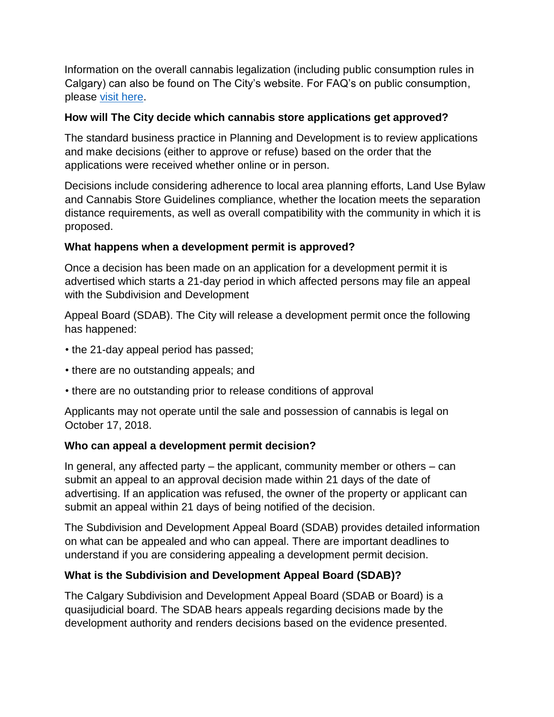Information on the overall cannabis legalization (including public consumption rules in Calgary) can also be found on The City's website. For FAQ's on public consumption, please [visit here.](http://councillordiane.ca/wp-content/uploads/2018/07/Public-Consumption-FAQ.pdf)

#### **How will The City decide which cannabis store applications get approved?**

The standard business practice in Planning and Development is to review applications and make decisions (either to approve or refuse) based on the order that the applications were received whether online or in person.

Decisions include considering adherence to local area planning efforts, Land Use Bylaw and Cannabis Store Guidelines compliance, whether the location meets the separation distance requirements, as well as overall compatibility with the community in which it is proposed.

# **What happens when a development permit is approved?**

Once a decision has been made on an application for a development permit it is advertised which starts a 21-day period in which affected persons may file an appeal with the Subdivision and Development

Appeal Board (SDAB). The City will release a development permit once the following has happened:

- the 21-day appeal period has passed;
- there are no outstanding appeals; and
- there are no outstanding prior to release conditions of approval

Applicants may not operate until the sale and possession of cannabis is legal on October 17, 2018.

# **Who can appeal a development permit decision?**

In general, any affected party – the applicant, community member or others – can submit an appeal to an approval decision made within 21 days of the date of advertising. If an application was refused, the owner of the property or applicant can submit an appeal within 21 days of being notified of the decision.

The Subdivision and Development Appeal Board (SDAB) provides detailed information on what can be appealed and who can appeal. There are important deadlines to understand if you are considering appealing a development permit decision.

# **What is the Subdivision and Development Appeal Board (SDAB)?**

The Calgary Subdivision and Development Appeal Board (SDAB or Board) is a quasijudicial board. The SDAB hears appeals regarding decisions made by the development authority and renders decisions based on the evidence presented.